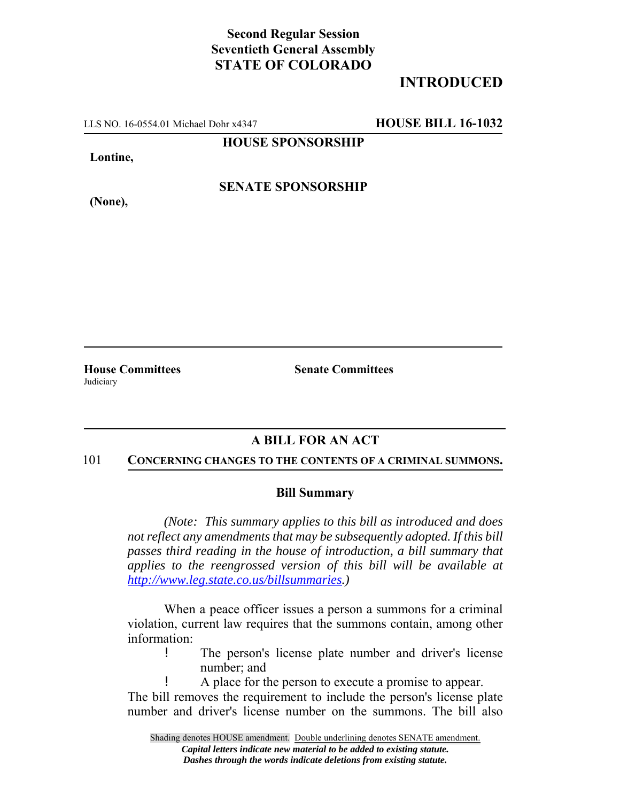## **Second Regular Session Seventieth General Assembly STATE OF COLORADO**

# **INTRODUCED**

LLS NO. 16-0554.01 Michael Dohr x4347 **HOUSE BILL 16-1032**

**HOUSE SPONSORSHIP**

**Lontine,**

**SENATE SPONSORSHIP**

**(None),**

**House Committees Senate Committees Judiciary** 

## **A BILL FOR AN ACT**

#### 101 **CONCERNING CHANGES TO THE CONTENTS OF A CRIMINAL SUMMONS.**

### **Bill Summary**

*(Note: This summary applies to this bill as introduced and does not reflect any amendments that may be subsequently adopted. If this bill passes third reading in the house of introduction, a bill summary that applies to the reengrossed version of this bill will be available at http://www.leg.state.co.us/billsummaries.)*

When a peace officer issues a person a summons for a criminal violation, current law requires that the summons contain, among other information:

- ! The person's license plate number and driver's license number; and
	- ! A place for the person to execute a promise to appear.

The bill removes the requirement to include the person's license plate number and driver's license number on the summons. The bill also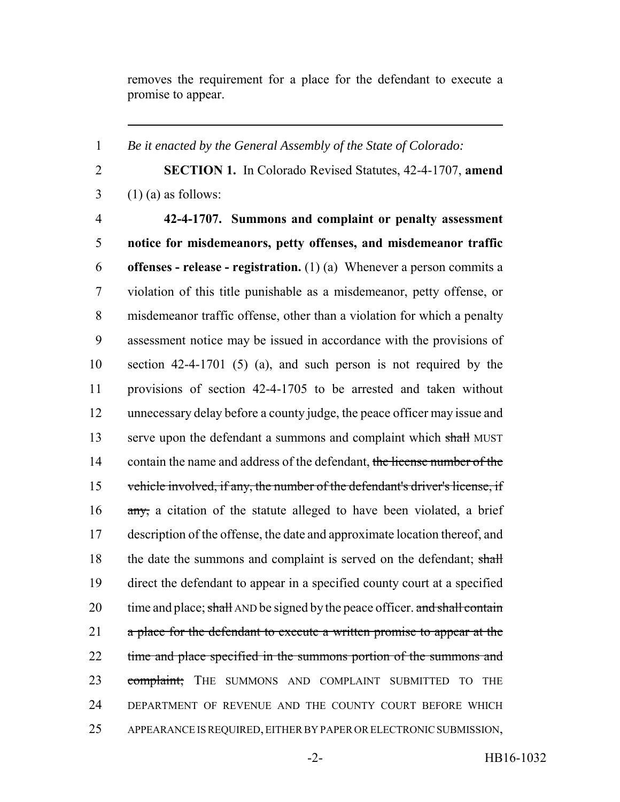removes the requirement for a place for the defendant to execute a promise to appear.

1 *Be it enacted by the General Assembly of the State of Colorado:*

2 **SECTION 1.** In Colorado Revised Statutes, 42-4-1707, **amend**  $3 \quad (1)$  (a) as follows:

 **42-4-1707. Summons and complaint or penalty assessment notice for misdemeanors, petty offenses, and misdemeanor traffic offenses - release - registration.** (1) (a) Whenever a person commits a violation of this title punishable as a misdemeanor, petty offense, or misdemeanor traffic offense, other than a violation for which a penalty assessment notice may be issued in accordance with the provisions of section 42-4-1701 (5) (a), and such person is not required by the provisions of section 42-4-1705 to be arrested and taken without unnecessary delay before a county judge, the peace officer may issue and 13 serve upon the defendant a summons and complaint which shall MUST 14 contain the name and address of the defendant, the license number of the vehicle involved, if any, the number of the defendant's driver's license, if 16 any, a citation of the statute alleged to have been violated, a brief description of the offense, the date and approximate location thereof, and 18 the date the summons and complaint is served on the defendant; shall direct the defendant to appear in a specified county court at a specified 20 time and place; shall AND be signed by the peace officer. and shall contain 21 a place for the defendant to execute a written promise to appear at the 22 time and place specified in the summons portion of the summons and 23 complaint; THE SUMMONS AND COMPLAINT SUBMITTED TO THE DEPARTMENT OF REVENUE AND THE COUNTY COURT BEFORE WHICH APPEARANCE IS REQUIRED, EITHER BY PAPER OR ELECTRONIC SUBMISSION,